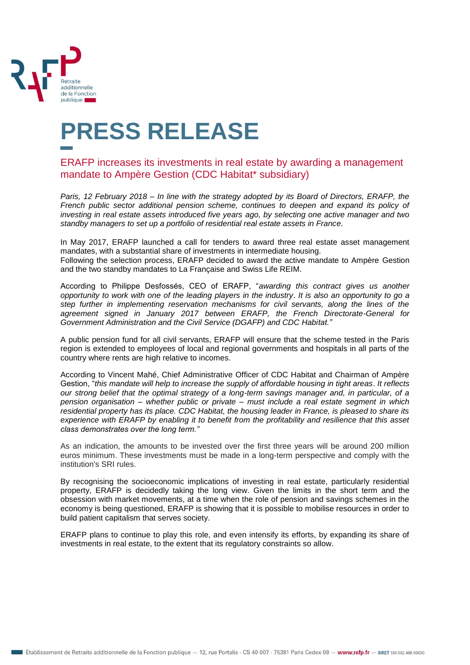

## **PRESS RELEASE**

ERAFP increases its investments in real estate by awarding a management mandate to Ampère Gestion (CDC Habitat\* subsidiary)

*Paris, 12 February 2018 – In line with the strategy adopted by its Board of Directors, ERAFP, the French public sector additional pension scheme, continues to deepen and expand its policy of investing in real estate assets introduced five years ago, by selecting one active manager and two standby managers to set up a portfolio of residential real estate assets in France.*

In May 2017, ERAFP launched a call for tenders to award three real estate asset management mandates, with a substantial share of investments in intermediate housing. Following the selection process, ERAFP decided to award the active mandate to Ampère Gestion and the two standby mandates to La Française and Swiss Life REIM.

According to Philippe Desfossés, CEO of ERAFP, "*awarding this contract gives us another opportunity to work with one of the leading players in the industry*. *It is also an opportunity to go a step further in implementing reservation mechanisms for civil servants, along the lines of the agreement signed in January 2017 between ERAFP, the French Directorate-General for Government Administration and the Civil Service (DGAFP) and CDC Habitat."*

A public pension fund for all civil servants, ERAFP will ensure that the scheme tested in the Paris region is extended to employees of local and regional governments and hospitals in all parts of the country where rents are high relative to incomes.

According to Vincent Mahé, Chief Administrative Officer of CDC Habitat and Chairman of Ampère Gestion, "*this mandate will help to increase the supply of affordable housing in tight areas*. *It reflects our strong belief that the optimal strategy of a long-term savings manager and, in particular, of a pension organisation – whether public or private – must include a real estate segment in which residential property has its place. CDC Habitat, the housing leader in France, is pleased to share its experience with ERAFP by enabling it to benefit from the profitability and resilience that this asset class demonstrates over the long term."* 

As an indication, the amounts to be invested over the first three years will be around 200 million euros minimum. These investments must be made in a long-term perspective and comply with the institution's SRI rules.

By recognising the socioeconomic implications of investing in real estate, particularly residential property, ERAFP is decidedly taking the long view. Given the limits in the short term and the obsession with market movements, at a time when the role of pension and savings schemes in the economy is being questioned, ERAFP is showing that it is possible to mobilise resources in order to build patient capitalism that serves society.

ERAFP plans to continue to play this role, and even intensify its efforts, by expanding its share of investments in real estate, to the extent that its regulatory constraints so allow.